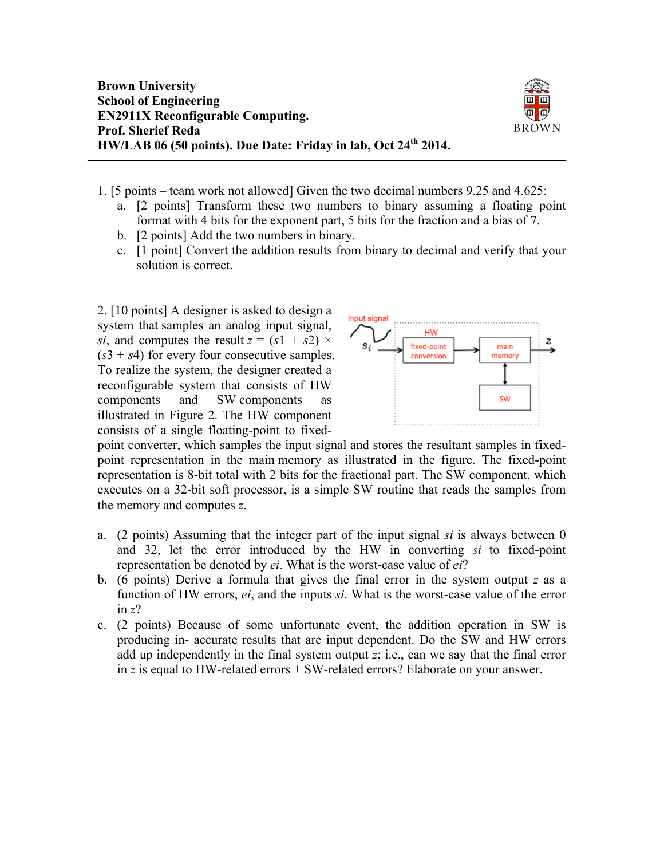

- 1. [5 points team work not allowed] Given the two decimal numbers 9.25 and 4.625:
	- a. [2 points] Transform these two numbers to binary assuming a floating point format with 4 bits for the exponent part, 5 bits for the fraction and a bias of 7.
	- b. [2 points] Add the two numbers in binary.
	- c. [1 point] Convert the addition results from binary to decimal and verify that your solution is correct.

2. [10 points] A designer is asked to design a system that samples an analog input signal, *si*, and computes the result  $z = (s1 + s2) \times$  $(s3 + s4)$  for every four consecutive samples. To realize the system, the designer created a reconfigurable system that consists of HW components and SW components as illustrated in Figure 2. The HW component consists of a single floating-point to fixed-



point converter, which samples the input signal and stores the resultant samples in fixedpoint representation in the main memory as illustrated in the figure. The fixed-point representation is 8-bit total with 2 bits for the fractional part. The SW component, which executes on a 32-bit soft processor, is a simple SW routine that reads the samples from the memory and computes *z*.

- a. (2 points) Assuming that the integer part of the input signal *si* is always between 0 and 32, let the error introduced by the HW in converting *si* to fixed-point representation be denoted by *ei*. What is the worst-case value of *ei*?
- b. (6 points) Derive a formula that gives the final error in the system output *z* as a function of HW errors, *ei*, and the inputs *si*. What is the worst-case value of the error in *z*?
- c. (2 points) Because of some unfortunate event, the addition operation in SW is producing in- accurate results that are input dependent. Do the SW and HW errors add up independently in the final system output *z*; i.e., can we say that the final error in *z* is equal to HW-related errors + SW-related errors? Elaborate on your answer.